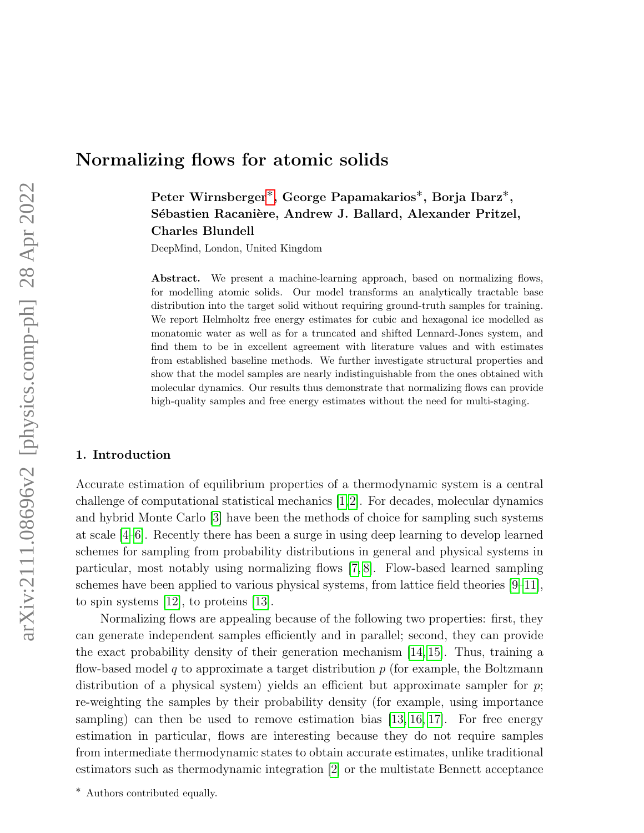# Normalizing flows for atomic solids

Peter Wirnsberger[∗](#page-0-0), George Papamakarios∗, Borja Ibarz∗, Sébastien Racanière, Andrew J. Ballard, Alexander Pritzel, Charles Blundell

DeepMind, London, United Kingdom

Abstract. We present a machine-learning approach, based on normalizing flows, for modelling atomic solids. Our model transforms an analytically tractable base distribution into the target solid without requiring ground-truth samples for training. We report Helmholtz free energy estimates for cubic and hexagonal ice modelled as monatomic water as well as for a truncated and shifted Lennard-Jones system, and find them to be in excellent agreement with literature values and with estimates from established baseline methods. We further investigate structural properties and show that the model samples are nearly indistinguishable from the ones obtained with molecular dynamics. Our results thus demonstrate that normalizing flows can provide high-quality samples and free energy estimates without the need for multi-staging.

#### 1. Introduction

Accurate estimation of equilibrium properties of a thermodynamic system is a central challenge of computational statistical mechanics [\[1,](#page-9-0)[2\]](#page-9-1). For decades, molecular dynamics and hybrid Monte Carlo [\[3\]](#page-9-2) have been the methods of choice for sampling such systems at scale [\[4](#page-9-3)[–6\]](#page-9-4). Recently there has been a surge in using deep learning to develop learned schemes for sampling from probability distributions in general and physical systems in particular, most notably using normalizing flows [\[7,](#page-9-5) [8\]](#page-9-6). Flow-based learned sampling schemes have been applied to various physical systems, from lattice field theories [\[9–](#page-9-7)[11\]](#page-9-8), to spin systems [\[12\]](#page-9-9), to proteins [\[13\]](#page-10-0).

Normalizing flows are appealing because of the following two properties: first, they can generate independent samples efficiently and in parallel; second, they can provide the exact probability density of their generation mechanism [\[14,](#page-10-1) [15\]](#page-10-2). Thus, training a flow-based model q to approximate a target distribution  $p$  (for example, the Boltzmann distribution of a physical system) yields an efficient but approximate sampler for  $p$ ; re-weighting the samples by their probability density (for example, using importance sampling) can then be used to remove estimation bias [\[13,](#page-10-0) [16,](#page-10-3) [17\]](#page-10-4). For free energy estimation in particular, flows are interesting because they do not require samples from intermediate thermodynamic states to obtain accurate estimates, unlike traditional estimators such as thermodynamic integration [\[2\]](#page-9-1) or the multistate Bennett acceptance

<span id="page-0-0"></span>∗ Authors contributed equally.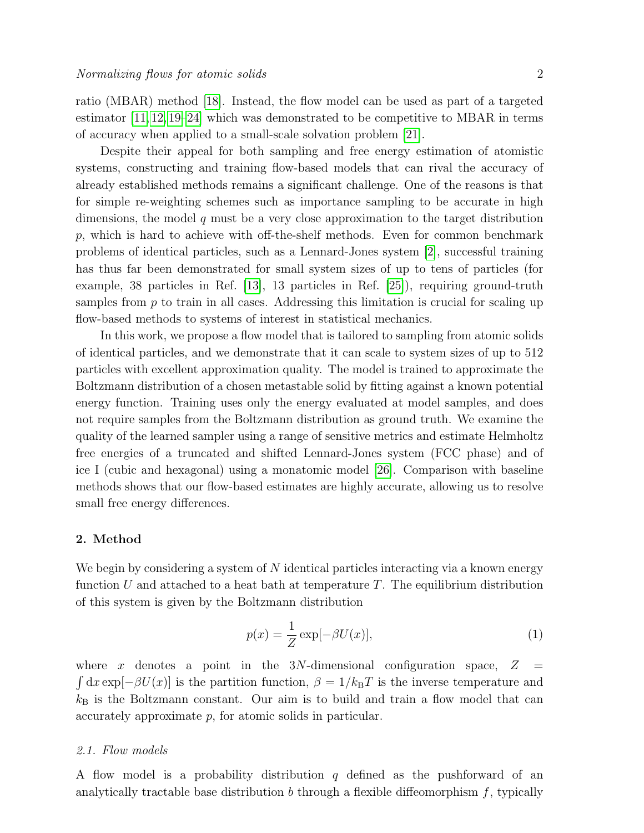ratio (MBAR) method [\[18\]](#page-10-5). Instead, the flow model can be used as part of a targeted estimator [\[11,](#page-9-8) [12,](#page-9-9) [19–](#page-10-6)[24\]](#page-10-7) which was demonstrated to be competitive to MBAR in terms of accuracy when applied to a small-scale solvation problem [\[21\]](#page-10-8).

Despite their appeal for both sampling and free energy estimation of atomistic systems, constructing and training flow-based models that can rival the accuracy of already established methods remains a significant challenge. One of the reasons is that for simple re-weighting schemes such as importance sampling to be accurate in high dimensions, the model  $q$  must be a very close approximation to the target distribution  $p$ , which is hard to achieve with off-the-shelf methods. Even for common benchmark problems of identical particles, such as a Lennard-Jones system [\[2\]](#page-9-1), successful training has thus far been demonstrated for small system sizes of up to tens of particles (for example, 38 particles in Ref. [\[13\]](#page-10-0), 13 particles in Ref. [\[25\]](#page-10-9)), requiring ground-truth samples from  $p$  to train in all cases. Addressing this limitation is crucial for scaling up flow-based methods to systems of interest in statistical mechanics.

In this work, we propose a flow model that is tailored to sampling from atomic solids of identical particles, and we demonstrate that it can scale to system sizes of up to 512 particles with excellent approximation quality. The model is trained to approximate the Boltzmann distribution of a chosen metastable solid by fitting against a known potential energy function. Training uses only the energy evaluated at model samples, and does not require samples from the Boltzmann distribution as ground truth. We examine the quality of the learned sampler using a range of sensitive metrics and estimate Helmholtz free energies of a truncated and shifted Lennard-Jones system (FCC phase) and of ice I (cubic and hexagonal) using a monatomic model [\[26\]](#page-10-10). Comparison with baseline methods shows that our flow-based estimates are highly accurate, allowing us to resolve small free energy differences.

## 2. Method

We begin by considering a system of  $N$  identical particles interacting via a known energy function U and attached to a heat bath at temperature  $T$ . The equilibrium distribution of this system is given by the Boltzmann distribution

$$
p(x) = \frac{1}{Z} \exp[-\beta U(x)],\tag{1}
$$

where x denotes a point in the  $3N$ -dimensional configuration space,  $Z$  $\int dx \exp[-\beta U(x)]$  is the partition function,  $\beta = 1/k_BT$  is the inverse temperature and  $k_B$  is the Boltzmann constant. Our aim is to build and train a flow model that can accurately approximate p, for atomic solids in particular.

## 2.1. Flow models

A flow model is a probability distribution q defined as the pushforward of an analytically tractable base distribution  $b$  through a flexible diffeomorphism  $f$ , typically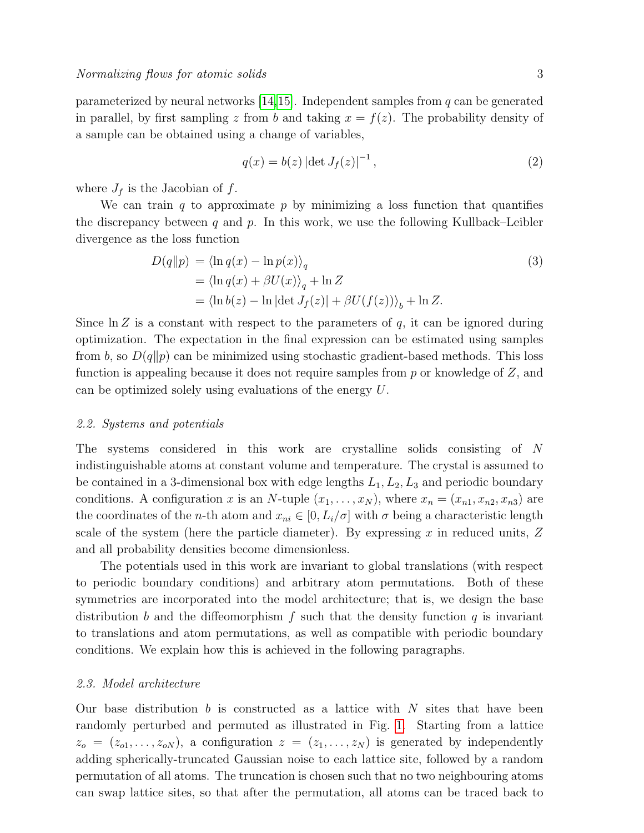parameterized by neural networks  $[14,15]$  $[14,15]$ . Independent samples from q can be generated in parallel, by first sampling z from b and taking  $x = f(z)$ . The probability density of a sample can be obtained using a change of variables,

$$
q(x) = b(z) |\det J_f(z)|^{-1},
$$
\n(2)

where  $J_f$  is the Jacobian of f.

We can train q to approximate  $p$  by minimizing a loss function that quantifies the discrepancy between  $q$  and  $p$ . In this work, we use the following Kullback–Leibler divergence as the loss function

<span id="page-2-0"></span>
$$
D(q||p) = \langle \ln q(x) - \ln p(x) \rangle_q
$$
  
=  $\langle \ln q(x) + \beta U(x) \rangle_q + \ln Z$   
=  $\langle \ln b(z) - \ln |\det J_f(z)| + \beta U(f(z)) \rangle_b + \ln Z.$  (3)

Since  $\ln Z$  is a constant with respect to the parameters of q, it can be ignored during optimization. The expectation in the final expression can be estimated using samples from b, so  $D(q||p)$  can be minimized using stochastic gradient-based methods. This loss function is appealing because it does not require samples from  $p$  or knowledge of  $Z$ , and can be optimized solely using evaluations of the energy U.

#### 2.2. Systems and potentials

The systems considered in this work are crystalline solids consisting of N indistinguishable atoms at constant volume and temperature. The crystal is assumed to be contained in a 3-dimensional box with edge lengths  $L_1, L_2, L_3$  and periodic boundary conditions. A configuration x is an N-tuple  $(x_1, \ldots, x_N)$ , where  $x_n = (x_{n1}, x_{n2}, x_{n3})$  are the coordinates of the *n*-th atom and  $x_{ni} \in [0, L_i/\sigma]$  with  $\sigma$  being a characteristic length scale of the system (here the particle diameter). By expressing  $x$  in reduced units,  $Z$ and all probability densities become dimensionless.

The potentials used in this work are invariant to global translations (with respect to periodic boundary conditions) and arbitrary atom permutations. Both of these symmetries are incorporated into the model architecture; that is, we design the base distribution b and the diffeomorphism f such that the density function q is invariant to translations and atom permutations, as well as compatible with periodic boundary conditions. We explain how this is achieved in the following paragraphs.

#### 2.3. Model architecture

Our base distribution b is constructed as a lattice with N sites that have been randomly perturbed and permuted as illustrated in Fig. [1.](#page-3-0) Starting from a lattice  $z_o = (z_{o1}, \ldots, z_{oN})$ , a configuration  $z = (z_1, \ldots, z_N)$  is generated by independently adding spherically-truncated Gaussian noise to each lattice site, followed by a random permutation of all atoms. The truncation is chosen such that no two neighbouring atoms can swap lattice sites, so that after the permutation, all atoms can be traced back to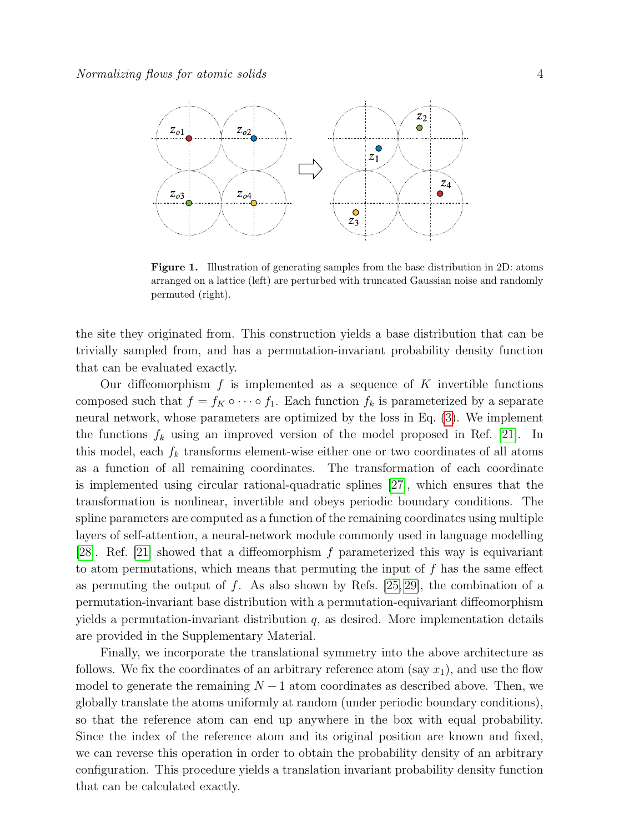

<span id="page-3-0"></span>Figure 1. Illustration of generating samples from the base distribution in 2D: atoms arranged on a lattice (left) are perturbed with truncated Gaussian noise and randomly permuted (right).

the site they originated from. This construction yields a base distribution that can be trivially sampled from, and has a permutation-invariant probability density function that can be evaluated exactly.

Our diffeomorphism  $f$  is implemented as a sequence of  $K$  invertible functions composed such that  $f = f_K \circ \cdots \circ f_1$ . Each function  $f_k$  is parameterized by a separate neural network, whose parameters are optimized by the loss in Eq. [\(3\)](#page-2-0). We implement the functions  $f_k$  using an improved version of the model proposed in Ref. [\[21\]](#page-10-8). In this model, each  $f_k$  transforms element-wise either one or two coordinates of all atoms as a function of all remaining coordinates. The transformation of each coordinate is implemented using circular rational-quadratic splines [\[27\]](#page-10-11), which ensures that the transformation is nonlinear, invertible and obeys periodic boundary conditions. The spline parameters are computed as a function of the remaining coordinates using multiple layers of self-attention, a neural-network module commonly used in language modelling [\[28\]](#page-10-12). Ref. [\[21\]](#page-10-8) showed that a diffeomorphism f parameterized this way is equivariant to atom permutations, which means that permuting the input of  $f$  has the same effect as permuting the output of f. As also shown by Refs.  $[25, 29]$  $[25, 29]$ , the combination of a permutation-invariant base distribution with a permutation-equivariant diffeomorphism yields a permutation-invariant distribution  $q$ , as desired. More implementation details are provided in the Supplementary Material.

Finally, we incorporate the translational symmetry into the above architecture as follows. We fix the coordinates of an arbitrary reference atom (say  $x_1$ ), and use the flow model to generate the remaining  $N-1$  atom coordinates as described above. Then, we globally translate the atoms uniformly at random (under periodic boundary conditions), so that the reference atom can end up anywhere in the box with equal probability. Since the index of the reference atom and its original position are known and fixed, we can reverse this operation in order to obtain the probability density of an arbitrary configuration. This procedure yields a translation invariant probability density function that can be calculated exactly.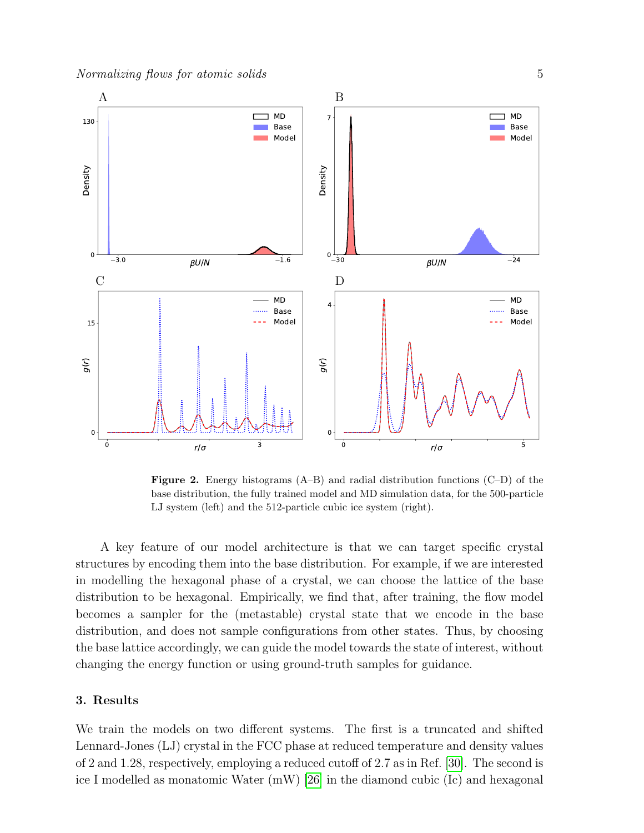

<span id="page-4-0"></span>**Figure 2.** Energy histograms  $(A-B)$  and radial distribution functions  $(C-D)$  of the base distribution, the fully trained model and MD simulation data, for the 500-particle LJ system (left) and the 512-particle cubic ice system (right).

A key feature of our model architecture is that we can target specific crystal structures by encoding them into the base distribution. For example, if we are interested in modelling the hexagonal phase of a crystal, we can choose the lattice of the base distribution to be hexagonal. Empirically, we find that, after training, the flow model becomes a sampler for the (metastable) crystal state that we encode in the base distribution, and does not sample configurations from other states. Thus, by choosing the base lattice accordingly, we can guide the model towards the state of interest, without changing the energy function or using ground-truth samples for guidance.

# 3. Results

We train the models on two different systems. The first is a truncated and shifted Lennard-Jones (LJ) crystal in the FCC phase at reduced temperature and density values of 2 and 1.28, respectively, employing a reduced cutoff of 2.7 as in Ref. [\[30\]](#page-10-14). The second is ice I modelled as monatomic Water (mW) [\[26\]](#page-10-10) in the diamond cubic (Ic) and hexagonal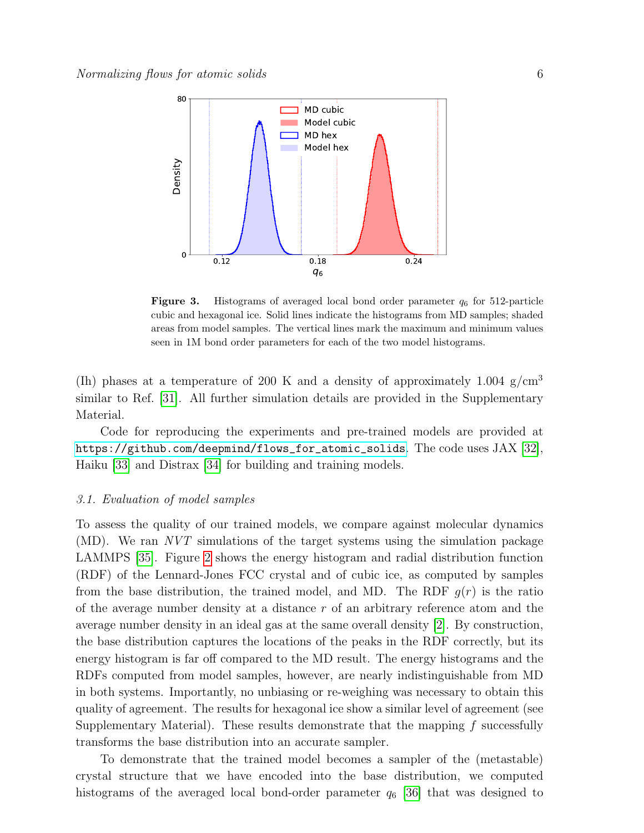

<span id="page-5-0"></span>**Figure 3.** Histograms of averaged local bond order parameter  $q_6$  for 512-particle cubic and hexagonal ice. Solid lines indicate the histograms from MD samples; shaded areas from model samples. The vertical lines mark the maximum and minimum values seen in 1M bond order parameters for each of the two model histograms.

(Ih) phases at a temperature of 200 K and a density of approximately 1.004 g/cm<sup>3</sup> similar to Ref. [\[31\]](#page-10-15). All further simulation details are provided in the Supplementary Material.

Code for reproducing the experiments and pre-trained models are provided at [https://github.com/deepmind/flows\\_for\\_atomic\\_solids](https://github.com/deepmind/flows_for_atomic_solids). The code uses JAX [\[32\]](#page-10-16), Haiku [\[33\]](#page-10-17) and Distrax [\[34\]](#page-10-18) for building and training models.

#### 3.1. Evaluation of model samples

To assess the quality of our trained models, we compare against molecular dynamics (MD). We ran NVT simulations of the target systems using the simulation package LAMMPS [\[35\]](#page-10-19). Figure [2](#page-4-0) shows the energy histogram and radial distribution function (RDF) of the Lennard-Jones FCC crystal and of cubic ice, as computed by samples from the base distribution, the trained model, and MD. The RDF  $g(r)$  is the ratio of the average number density at a distance r of an arbitrary reference atom and the average number density in an ideal gas at the same overall density [\[2\]](#page-9-1). By construction, the base distribution captures the locations of the peaks in the RDF correctly, but its energy histogram is far off compared to the MD result. The energy histograms and the RDFs computed from model samples, however, are nearly indistinguishable from MD in both systems. Importantly, no unbiasing or re-weighing was necessary to obtain this quality of agreement. The results for hexagonal ice show a similar level of agreement (see Supplementary Material). These results demonstrate that the mapping  $f$  successfully transforms the base distribution into an accurate sampler.

To demonstrate that the trained model becomes a sampler of the (metastable) crystal structure that we have encoded into the base distribution, we computed histograms of the averaged local bond-order parameter  $q_6$  [\[36\]](#page-10-20) that was designed to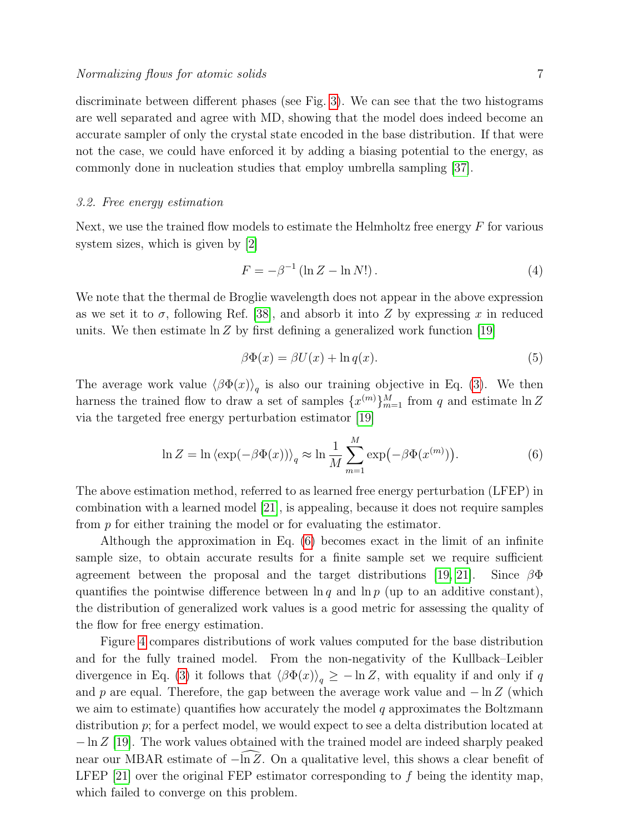discriminate between different phases (see Fig. [3\)](#page-5-0). We can see that the two histograms are well separated and agree with MD, showing that the model does indeed become an accurate sampler of only the crystal state encoded in the base distribution. If that were not the case, we could have enforced it by adding a biasing potential to the energy, as commonly done in nucleation studies that employ umbrella sampling [\[37\]](#page-10-21).

#### 3.2. Free energy estimation

Next, we use the trained flow models to estimate the Helmholtz free energy  $F$  for various system sizes, which is given by [\[2\]](#page-9-1)

$$
F = -\beta^{-1} \left( \ln Z - \ln N! \right). \tag{4}
$$

We note that the thermal de Broglie wavelength does not appear in the above expression as we set it to  $\sigma$ , following Ref. [\[38\]](#page-10-22), and absorb it into Z by expressing x in reduced units. We then estimate  $\ln Z$  by first defining a generalized work function [\[19\]](#page-10-6)

$$
\beta \Phi(x) = \beta U(x) + \ln q(x). \tag{5}
$$

The average work value  $\langle \beta \Phi(x) \rangle_q$  is also our training objective in Eq. [\(3\)](#page-2-0). We then harness the trained flow to draw a set of samples  $\{x^{(m)}\}_{m=1}^M$  from q and estimate  $\ln Z$ via the targeted free energy perturbation estimator [\[19\]](#page-10-6)

<span id="page-6-0"></span>
$$
\ln Z = \ln \left\langle \exp(-\beta \Phi(x)) \right\rangle_q \approx \ln \frac{1}{M} \sum_{m=1}^{M} \exp(-\beta \Phi(x^{(m)})).
$$
 (6)

The above estimation method, referred to as learned free energy perturbation (LFEP) in combination with a learned model [\[21\]](#page-10-8), is appealing, because it does not require samples from p for either training the model or for evaluating the estimator.

Although the approximation in Eq. [\(6\)](#page-6-0) becomes exact in the limit of an infinite sample size, to obtain accurate results for a finite sample set we require sufficient agreement between the proposal and the target distributions [\[19,](#page-10-6) [21\]](#page-10-8). Since  $\beta\Phi$ quantifies the pointwise difference between  $\ln q$  and  $\ln p$  (up to an additive constant), the distribution of generalized work values is a good metric for assessing the quality of the flow for free energy estimation.

Figure [4](#page-7-0) compares distributions of work values computed for the base distribution and for the fully trained model. From the non-negativity of the Kullback–Leibler divergence in Eq. [\(3\)](#page-2-0) it follows that  $\langle \beta \Phi(x) \rangle_q \geq -\ln Z$ , with equality if and only if q and p are equal. Therefore, the gap between the average work value and  $-\ln Z$  (which we aim to estimate) quantifies how accurately the model  $q$  approximates the Boltzmann distribution p; for a perfect model, we would expect to see a delta distribution located at  $-\ln Z$  [\[19\]](#page-10-6). The work values obtained with the trained model are indeed sharply peaked near our MBAR estimate of  $-\ln Z$ . On a qualitative level, this shows a clear benefit of LFEP  $[21]$  over the original FEP estimator corresponding to f being the identity map, which failed to converge on this problem.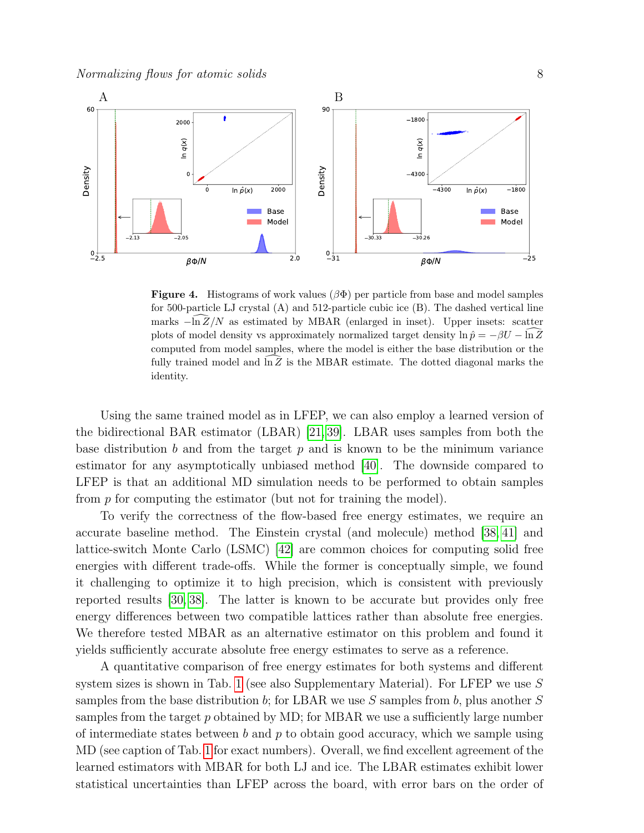

<span id="page-7-0"></span>Figure 4. Histograms of work values  $(\beta \Phi)$  per particle from base and model samples for 500-particle LJ crystal (A) and 512-particle cubic ice (B). The dashed vertical line marks  $-\ln Z/N$  as estimated by MBAR (enlarged in inset). Upper insets: scatter plots of model density vs approximately normalized target density  $\ln \hat{p} = -\beta U - \ln \hat{Z}$ computed from model samples, where the model is either the base distribution or the fully trained model and  $\ln Z$  is the MBAR estimate. The dotted diagonal marks the identity.

Using the same trained model as in LFEP, we can also employ a learned version of the bidirectional BAR estimator (LBAR) [\[21,](#page-10-8) [39\]](#page-10-23). LBAR uses samples from both the base distribution b and from the target  $p$  and is known to be the minimum variance estimator for any asymptotically unbiased method [\[40\]](#page-10-24). The downside compared to LFEP is that an additional MD simulation needs to be performed to obtain samples from p for computing the estimator (but not for training the model).

To verify the correctness of the flow-based free energy estimates, we require an accurate baseline method. The Einstein crystal (and molecule) method [\[38,](#page-10-22) [41\]](#page-10-25) and lattice-switch Monte Carlo (LSMC) [\[42\]](#page-10-26) are common choices for computing solid free energies with different trade-offs. While the former is conceptually simple, we found it challenging to optimize it to high precision, which is consistent with previously reported results [\[30,](#page-10-14) [38\]](#page-10-22). The latter is known to be accurate but provides only free energy differences between two compatible lattices rather than absolute free energies. We therefore tested MBAR as an alternative estimator on this problem and found it yields sufficiently accurate absolute free energy estimates to serve as a reference.

A quantitative comparison of free energy estimates for both systems and different system sizes is shown in Tab. [1](#page-8-0) (see also Supplementary Material). For LFEP we use  $S$ samples from the base distribution b; for LBAR we use S samples from b, plus another  $S$ samples from the target  $p$  obtained by MD; for MBAR we use a sufficiently large number of intermediate states between  $b$  and  $p$  to obtain good accuracy, which we sample using MD (see caption of Tab. [1](#page-8-0) for exact numbers). Overall, we find excellent agreement of the learned estimators with MBAR for both LJ and ice. The LBAR estimates exhibit lower statistical uncertainties than LFEP across the board, with error bars on the order of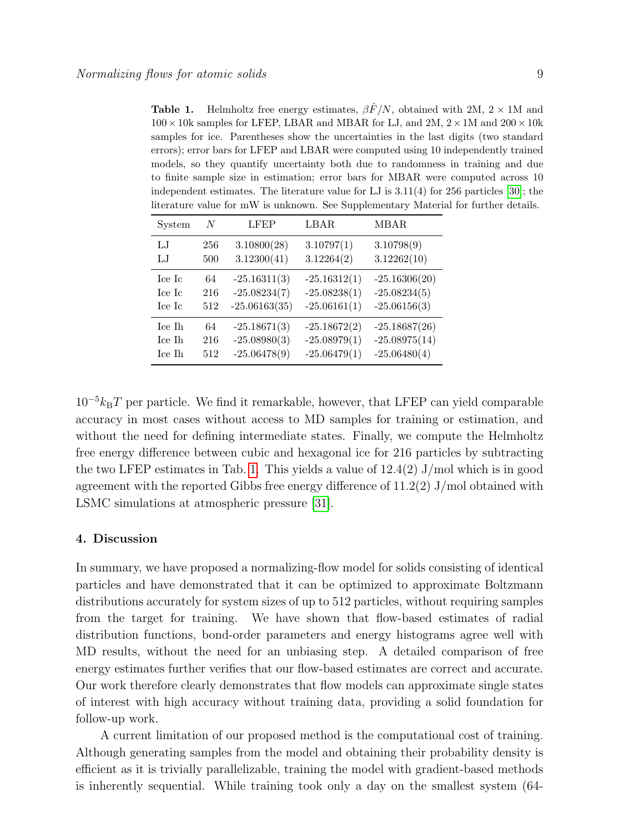<span id="page-8-0"></span>**Table 1.** Helmholtz free energy estimates,  $\frac{\partial \hat{F}}{N}$ , obtained with 2M, 2 × 1M and  $100 \times 10k$  samples for LFEP, LBAR and MBAR for LJ, and 2M,  $2 \times 1M$  and  $200 \times 10k$ samples for ice. Parentheses show the uncertainties in the last digits (two standard errors); error bars for LFEP and LBAR were computed using 10 independently trained models, so they quantify uncertainty both due to randomness in training and due to finite sample size in estimation; error bars for MBAR were computed across 10 independent estimates. The literature value for LJ is  $3.11(4)$  for 256 particles [\[30\]](#page-10-14); the literature value for mW is unknown. See Supplementary Material for further details.

| System       | N   | LFEP            | LBAR           | <b>MBAR</b>     |
|--------------|-----|-----------------|----------------|-----------------|
| $L_{\rm{J}}$ | 256 | 3.10800(28)     | 3.10797(1)     | 3.10798(9)      |
| $L_{\cdot}$  | 500 | 3.12300(41)     | 3.12264(2)     | 3.12262(10)     |
| Ice Ic       | 64  | $-25.16311(3)$  | $-25.16312(1)$ | $-25.16306(20)$ |
| Ice Ic       | 216 | $-25.08234(7)$  | $-25.08238(1)$ | $-25.08234(5)$  |
| Ice Ic       | 512 | $-25.06163(35)$ | $-25.06161(1)$ | $-25.06156(3)$  |
| Ice Ih       | 64  | $-25.18671(3)$  | $-25.18672(2)$ | $-25.18687(26)$ |
| Ice Ih       | 216 | $-25.08980(3)$  | $-25.08979(1)$ | $-25.08975(14)$ |
| Ice Ih       | 512 | $-25.06478(9)$  | $-25.06479(1)$ | $-25.06480(4)$  |

 $10^{-5}k_BT$  per particle. We find it remarkable, however, that LFEP can yield comparable accuracy in most cases without access to MD samples for training or estimation, and without the need for defining intermediate states. Finally, we compute the Helmholtz free energy difference between cubic and hexagonal ice for 216 particles by subtracting the two LFEP estimates in Tab. [1.](#page-8-0) This yields a value of  $12.4(2)$  J/mol which is in good agreement with the reported Gibbs free energy difference of  $11.2(2)$  J/mol obtained with LSMC simulations at atmospheric pressure [\[31\]](#page-10-15).

#### 4. Discussion

In summary, we have proposed a normalizing-flow model for solids consisting of identical particles and have demonstrated that it can be optimized to approximate Boltzmann distributions accurately for system sizes of up to 512 particles, without requiring samples from the target for training. We have shown that flow-based estimates of radial distribution functions, bond-order parameters and energy histograms agree well with MD results, without the need for an unbiasing step. A detailed comparison of free energy estimates further verifies that our flow-based estimates are correct and accurate. Our work therefore clearly demonstrates that flow models can approximate single states of interest with high accuracy without training data, providing a solid foundation for follow-up work.

A current limitation of our proposed method is the computational cost of training. Although generating samples from the model and obtaining their probability density is efficient as it is trivially parallelizable, training the model with gradient-based methods is inherently sequential. While training took only a day on the smallest system (64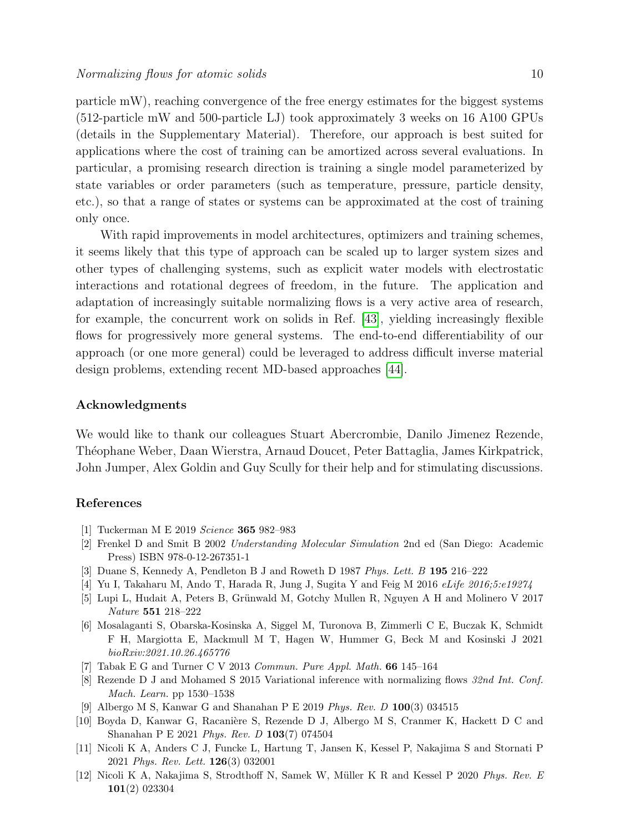particle mW), reaching convergence of the free energy estimates for the biggest systems (512-particle mW and 500-particle LJ) took approximately 3 weeks on 16 A100 GPUs (details in the Supplementary Material). Therefore, our approach is best suited for applications where the cost of training can be amortized across several evaluations. In particular, a promising research direction is training a single model parameterized by state variables or order parameters (such as temperature, pressure, particle density, etc.), so that a range of states or systems can be approximated at the cost of training only once.

With rapid improvements in model architectures, optimizers and training schemes, it seems likely that this type of approach can be scaled up to larger system sizes and other types of challenging systems, such as explicit water models with electrostatic interactions and rotational degrees of freedom, in the future. The application and adaptation of increasingly suitable normalizing flows is a very active area of research, for example, the concurrent work on solids in Ref. [\[43\]](#page-10-27), yielding increasingly flexible flows for progressively more general systems. The end-to-end differentiability of our approach (or one more general) could be leveraged to address difficult inverse material design problems, extending recent MD-based approaches [\[44\]](#page-10-28).

#### Acknowledgments

We would like to thank our colleagues Stuart Abercrombie, Danilo Jimenez Rezende, Th´eophane Weber, Daan Wierstra, Arnaud Doucet, Peter Battaglia, James Kirkpatrick, John Jumper, Alex Goldin and Guy Scully for their help and for stimulating discussions.

# References

- <span id="page-9-0"></span>[1] Tuckerman M E 2019 Science 365 982–983
- <span id="page-9-1"></span>[2] Frenkel D and Smit B 2002 Understanding Molecular Simulation 2nd ed (San Diego: Academic Press) ISBN 978-0-12-267351-1
- <span id="page-9-2"></span>[3] Duane S, Kennedy A, Pendleton B J and Roweth D 1987 Phys. Lett. B 195 216–222
- <span id="page-9-3"></span>[4] Yu I, Takaharu M, Ando T, Harada R, Jung J, Sugita Y and Feig M 2016 eLife 2016;5:e19274
- [5] Lupi L, Hudait A, Peters B, Grünwald M, Gotchy Mullen R, Nguyen A H and Molinero V 2017 Nature 551 218–222
- <span id="page-9-4"></span>[6] Mosalaganti S, Obarska-Kosinska A, Siggel M, Turonova B, Zimmerli C E, Buczak K, Schmidt F H, Margiotta E, Mackmull M T, Hagen W, Hummer G, Beck M and Kosinski J 2021 bioRxiv:2021.10.26.465776
- <span id="page-9-5"></span>[7] Tabak E G and Turner C V 2013 Commun. Pure Appl. Math.  $66$  145–164
- <span id="page-9-6"></span>[8] Rezende D J and Mohamed S 2015 Variational inference with normalizing flows 32nd Int. Conf. Mach. Learn. pp 1530–1538
- <span id="page-9-7"></span>[9] Albergo M S, Kanwar G and Shanahan P E 2019 Phys. Rev. D 100(3) 034515
- [10] Boyda D, Kanwar G, Racanière S, Rezende D J, Albergo M S, Cranmer K, Hackett D C and Shanahan P E 2021 Phys. Rev. D 103(7) 074504
- <span id="page-9-8"></span>[11] Nicoli K A, Anders C J, Funcke L, Hartung T, Jansen K, Kessel P, Nakajima S and Stornati P 2021 Phys. Rev. Lett. 126(3) 032001
- <span id="page-9-9"></span>[12] Nicoli K A, Nakajima S, Strodthoff N, Samek W, Müller K R and Kessel P 2020 Phys. Rev. E 101(2) 023304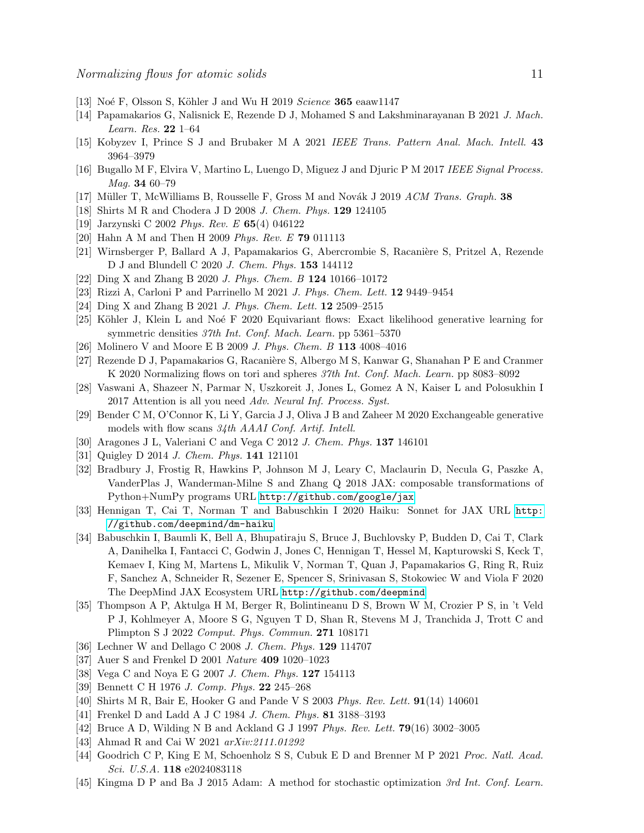- <span id="page-10-0"></span>[13] Noé F, Olsson S, Köhler J and Wu H 2019 Science  $365$  eaaw1147
- <span id="page-10-1"></span>[14] Papamakarios G, Nalisnick E, Rezende D J, Mohamed S and Lakshminarayanan B 2021 J. Mach. Learn. Res. 22 1–64
- <span id="page-10-2"></span>[15] Kobyzev I, Prince S J and Brubaker M A 2021 IEEE Trans. Pattern Anal. Mach. Intell. 43 3964–3979
- <span id="page-10-3"></span>[16] Bugallo M F, Elvira V, Martino L, Luengo D, Miguez J and Djuric P M 2017 IEEE Signal Process. Mag. 34 60–79
- <span id="page-10-4"></span>[17] Müller T, McWilliams B, Rousselle F, Gross M and Novák J 2019 ACM Trans. Graph. 38
- <span id="page-10-5"></span>[18] Shirts M R and Chodera J D 2008 J. Chem. Phys. 129 124105
- <span id="page-10-6"></span>[19] Jarzynski C 2002 Phys. Rev. E 65(4) 046122
- [20] Hahn A M and Then H 2009 Phys. Rev. E 79 011113
- <span id="page-10-8"></span>[21] Wirnsberger P, Ballard A J, Papamakarios G, Abercrombie S, Racanière S, Pritzel A, Rezende D J and Blundell C 2020 J. Chem. Phys. 153 144112
- [22] Ding X and Zhang B 2020 J. Phys. Chem. B 124 10166–10172
- [23] Rizzi A, Carloni P and Parrinello M 2021 J. Phys. Chem. Lett. 12 9449–9454
- <span id="page-10-7"></span>[24] Ding X and Zhang B 2021 J. Phys. Chem. Lett. 12 2509–2515
- <span id="page-10-9"></span>[25] Köhler J, Klein L and Noé F 2020 Equivariant flows: Exact likelihood generative learning for symmetric densities 37th Int. Conf. Mach. Learn. pp 5361–5370
- <span id="page-10-10"></span>[26] Molinero V and Moore E B 2009 J. Phys. Chem. B 113 4008–4016
- <span id="page-10-11"></span>[27] Rezende D J, Papamakarios G, Racanière S, Albergo M S, Kanwar G, Shanahan P E and Cranmer K 2020 Normalizing flows on tori and spheres 37th Int. Conf. Mach. Learn. pp 8083–8092
- <span id="page-10-12"></span>[28] Vaswani A, Shazeer N, Parmar N, Uszkoreit J, Jones L, Gomez A N, Kaiser L and Polosukhin I 2017 Attention is all you need Adv. Neural Inf. Process. Syst.
- <span id="page-10-13"></span>[29] Bender C M, O'Connor K, Li Y, Garcia J J, Oliva J B and Zaheer M 2020 Exchangeable generative models with flow scans 34th AAAI Conf. Artif. Intell.
- <span id="page-10-14"></span>[30] Aragones J L, Valeriani C and Vega C 2012 J. Chem. Phys. 137 146101
- <span id="page-10-15"></span>[31] Quigley D 2014 J. Chem. Phys. 141 121101
- <span id="page-10-16"></span>[32] Bradbury J, Frostig R, Hawkins P, Johnson M J, Leary C, Maclaurin D, Necula G, Paszke A, VanderPlas J, Wanderman-Milne S and Zhang Q 2018 JAX: composable transformations of Python+NumPy programs URL <http://github.com/google/jax>
- <span id="page-10-17"></span>[33] Hennigan T, Cai T, Norman T and Babuschkin I 2020 Haiku: Sonnet for JAX URL [http:](http://github.com/deepmind/dm-haiku) [//github.com/deepmind/dm-haiku](http://github.com/deepmind/dm-haiku)
- <span id="page-10-18"></span>[34] Babuschkin I, Baumli K, Bell A, Bhupatiraju S, Bruce J, Buchlovsky P, Budden D, Cai T, Clark A, Danihelka I, Fantacci C, Godwin J, Jones C, Hennigan T, Hessel M, Kapturowski S, Keck T, Kemaev I, King M, Martens L, Mikulik V, Norman T, Quan J, Papamakarios G, Ring R, Ruiz F, Sanchez A, Schneider R, Sezener E, Spencer S, Srinivasan S, Stokowiec W and Viola F 2020 The DeepMind JAX Ecosystem URL <http://github.com/deepmind>
- <span id="page-10-19"></span>[35] Thompson A P, Aktulga H M, Berger R, Bolintineanu D S, Brown W M, Crozier P S, in 't Veld P J, Kohlmeyer A, Moore S G, Nguyen T D, Shan R, Stevens M J, Tranchida J, Trott C and Plimpton S J 2022 Comput. Phys. Commun. 271 108171
- <span id="page-10-20"></span>[36] Lechner W and Dellago C 2008 J. Chem. Phys. 129 114707
- <span id="page-10-21"></span>[37] Auer S and Frenkel D 2001 Nature 409 1020–1023
- <span id="page-10-22"></span>[38] Vega C and Noya E G 2007 J. Chem. Phys. 127 154113
- <span id="page-10-23"></span>[39] Bennett C H 1976 J. Comp. Phys. 22 245–268
- <span id="page-10-24"></span>[40] Shirts M R, Bair E, Hooker G and Pande V S 2003 Phys. Rev. Lett. 91(14) 140601
- <span id="page-10-25"></span>[41] Frenkel D and Ladd A J C 1984 J. Chem. Phys. 81 3188-3193
- <span id="page-10-26"></span>[42] Bruce A D, Wilding N B and Ackland G J 1997 Phys. Rev. Lett. 79(16) 3002–3005
- <span id="page-10-27"></span>[43] Ahmad R and Cai W 2021 arXiv:2111.01292
- <span id="page-10-28"></span>[44] Goodrich C P, King E M, Schoenholz S S, Cubuk E D and Brenner M P 2021 Proc. Natl. Acad. Sci. U.S.A. 118 e2024083118
- <span id="page-10-29"></span>[45] Kingma D P and Ba J 2015 Adam: A method for stochastic optimization 3rd Int. Conf. Learn.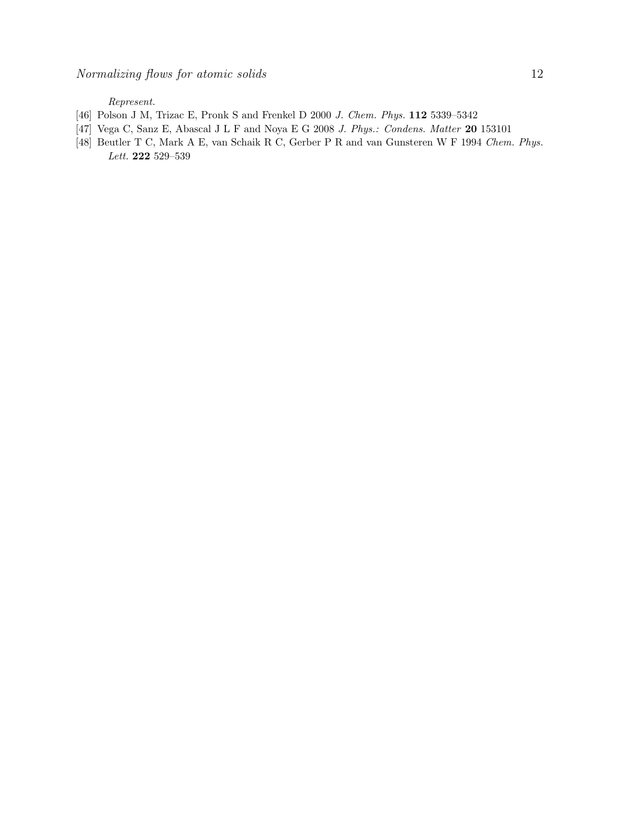Represent.

- <span id="page-11-0"></span>[46] Polson J M, Trizac E, Pronk S and Frenkel D 2000 J. Chem. Phys. 112 5339–5342
- <span id="page-11-1"></span>[47] Vega C, Sanz E, Abascal J L F and Noya E G 2008 J. Phys.: Condens. Matter 20 153101
- <span id="page-11-2"></span>[48] Beutler T C, Mark A E, van Schaik R C, Gerber P R and van Gunsteren W F 1994 Chem. Phys. Lett. 222 529–539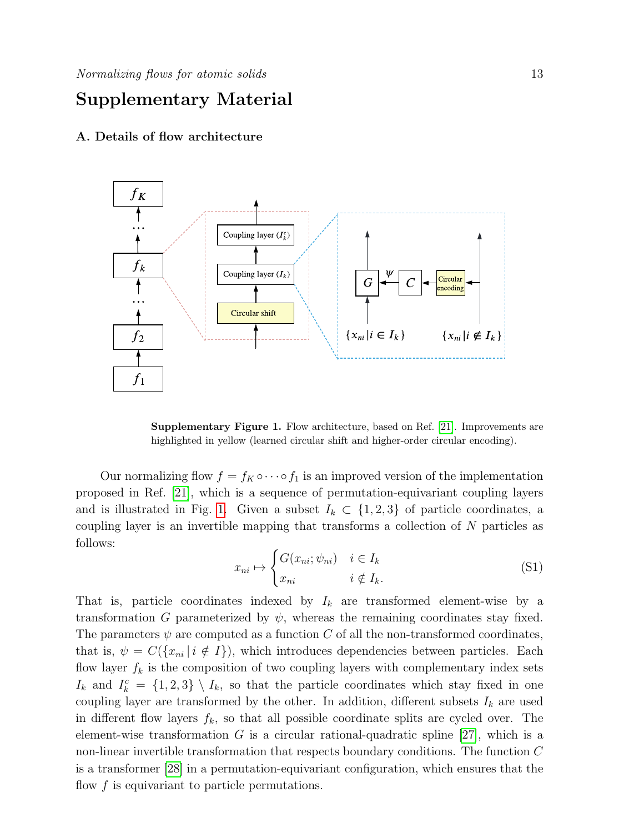# Supplementary Material

## A. Details of flow architecture



Supplementary Figure 1. Flow architecture, based on Ref. [\[21\]](#page-10-8). Improvements are highlighted in yellow (learned circular shift and higher-order circular encoding).

Our normalizing flow  $f = f_K \circ \cdots \circ f_1$  is an improved version of the implementation proposed in Ref. [\[21\]](#page-10-8), which is a sequence of permutation-equivariant coupling layers and is illustrated in Fig. [1.](#page-3-0) Given a subset  $I_k \subset \{1,2,3\}$  of particle coordinates, a coupling layer is an invertible mapping that transforms a collection of N particles as follows:

$$
x_{ni} \mapsto \begin{cases} G(x_{ni}; \psi_{ni}) & i \in I_k \\ x_{ni} & i \notin I_k. \end{cases}
$$
 (S1)

That is, particle coordinates indexed by  $I_k$  are transformed element-wise by a transformation G parameterized by  $\psi$ , whereas the remaining coordinates stay fixed. The parameters  $\psi$  are computed as a function C of all the non-transformed coordinates, that is,  $\psi = C({x_{ni} | i \notin I})$ , which introduces dependencies between particles. Each flow layer  $f_k$  is the composition of two coupling layers with complementary index sets  $I_k$  and  $I_k^c = \{1,2,3\} \setminus I_k$ , so that the particle coordinates which stay fixed in one coupling layer are transformed by the other. In addition, different subsets  $I_k$  are used in different flow layers  $f_k$ , so that all possible coordinate splits are cycled over. The element-wise transformation G is a circular rational-quadratic spline [\[27\]](#page-10-11), which is a non-linear invertible transformation that respects boundary conditions. The function C is a transformer [\[28\]](#page-10-12) in a permutation-equivariant configuration, which ensures that the flow  $f$  is equivariant to particle permutations.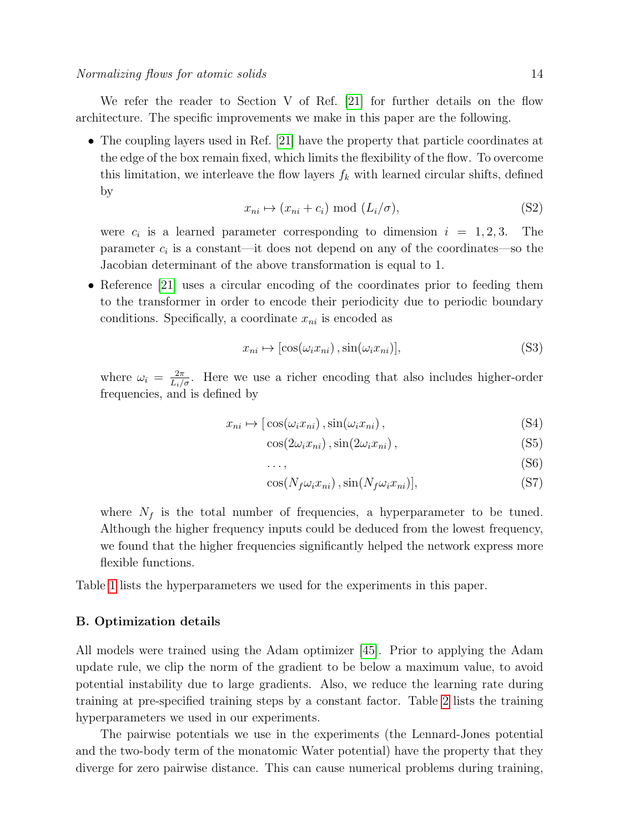We refer the reader to Section V of Ref. [\[21\]](#page-10-8) for further details on the flow architecture. The specific improvements we make in this paper are the following.

• The coupling layers used in Ref. [\[21\]](#page-10-8) have the property that particle coordinates at the edge of the box remain fixed, which limits the flexibility of the flow. To overcome this limitation, we interleave the flow layers  $f_k$  with learned circular shifts, defined by

$$
x_{ni} \mapsto (x_{ni} + c_i) \text{ mod } (L_i/\sigma), \tag{S2}
$$

were  $c_i$  is a learned parameter corresponding to dimension  $i = 1, 2, 3$ . The parameter  $c_i$  is a constant—it does not depend on any of the coordinates—so the Jacobian determinant of the above transformation is equal to 1.

• Reference [\[21\]](#page-10-8) uses a circular encoding of the coordinates prior to feeding them to the transformer in order to encode their periodicity due to periodic boundary conditions. Specifically, a coordinate  $x_{ni}$  is encoded as

$$
x_{ni} \mapsto [\cos(\omega_i x_{ni}), \sin(\omega_i x_{ni})], \tag{S3}
$$

where  $\omega_i = \frac{2\pi}{L_i/\sigma}$ . Here we use a richer encoding that also includes higher-order frequencies, and is defined by

$$
x_{ni} \mapsto [\cos(\omega_i x_{ni}), \sin(\omega_i x_{ni}), \qquad (S4)
$$

$$
\cos(2\omega_i x_{ni}), \sin(2\omega_i x_{ni}), \qquad (S5)
$$

$$
\ldots,\t(56)
$$

$$
\cos(N_f \omega_i x_{ni}), \sin(N_f \omega_i x_{ni})],\tag{S7}
$$

where  $N_f$  is the total number of frequencies, a hyperparameter to be tuned. Although the higher frequency inputs could be deduced from the lowest frequency, we found that the higher frequencies significantly helped the network express more flexible functions.

Table [1](#page-8-0) lists the hyperparameters we used for the experiments in this paper.

## B. Optimization details

All models were trained using the Adam optimizer [\[45\]](#page-10-29). Prior to applying the Adam update rule, we clip the norm of the gradient to be below a maximum value, to avoid potential instability due to large gradients. Also, we reduce the learning rate during training at pre-specified training steps by a constant factor. Table [2](#page-15-0) lists the training hyperparameters we used in our experiments.

The pairwise potentials we use in the experiments (the Lennard-Jones potential and the two-body term of the monatomic Water potential) have the property that they diverge for zero pairwise distance. This can cause numerical problems during training,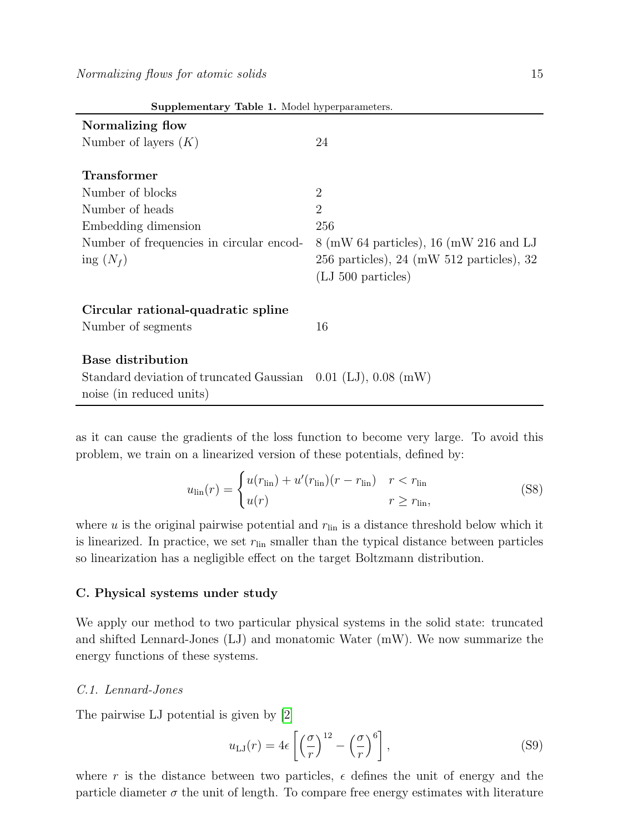| Supplementary Table 1. Model hyperparameters.                     |                                                                        |  |  |  |  |  |
|-------------------------------------------------------------------|------------------------------------------------------------------------|--|--|--|--|--|
| Normalizing flow                                                  |                                                                        |  |  |  |  |  |
| Number of layers $(K)$                                            | 24                                                                     |  |  |  |  |  |
|                                                                   |                                                                        |  |  |  |  |  |
| <b>Transformer</b>                                                |                                                                        |  |  |  |  |  |
| Number of blocks                                                  | $\overline{2}$                                                         |  |  |  |  |  |
| Number of heads                                                   | $\overline{2}$                                                         |  |  |  |  |  |
| Embedding dimension                                               | 256                                                                    |  |  |  |  |  |
| Number of frequencies in circular encod-                          | $8 \text{ (mW 64 particles)}$ , 16 (mW 216 and LJ                      |  |  |  |  |  |
| ing $(N_f)$                                                       | $256$ particles), $24 \, (\text{mW } 512 \text{ particles})$ , $32 \,$ |  |  |  |  |  |
|                                                                   | $(LJ 500$ particles)                                                   |  |  |  |  |  |
|                                                                   |                                                                        |  |  |  |  |  |
| Circular rational-quadratic spline                                |                                                                        |  |  |  |  |  |
| Number of segments                                                | 16                                                                     |  |  |  |  |  |
|                                                                   |                                                                        |  |  |  |  |  |
| <b>Base distribution</b>                                          |                                                                        |  |  |  |  |  |
| Standard deviation of truncated Gaussian $0.01$ (LJ), $0.08$ (mW) |                                                                        |  |  |  |  |  |
| noise (in reduced units)                                          |                                                                        |  |  |  |  |  |

as it can cause the gradients of the loss function to become very large. To avoid this problem, we train on a linearized version of these potentials, defined by:

$$
u_{\rm lin}(r) = \begin{cases} u(r_{\rm lin}) + u'(r_{\rm lin})(r - r_{\rm lin}) & r < r_{\rm lin} \\ u(r) & r \ge r_{\rm lin}, \end{cases} \tag{S8}
$$

where u is the original pairwise potential and  $r_{lin}$  is a distance threshold below which it is linearized. In practice, we set  $r_{lin}$  smaller than the typical distance between particles so linearization has a negligible effect on the target Boltzmann distribution.

## C. Physical systems under study

We apply our method to two particular physical systems in the solid state: truncated and shifted Lennard-Jones (LJ) and monatomic Water (mW). We now summarize the energy functions of these systems.

# C.1. Lennard-Jones

The pairwise LJ potential is given by [\[2\]](#page-9-1)

$$
u_{\text{LJ}}(r) = 4\epsilon \left[ \left(\frac{\sigma}{r}\right)^{12} - \left(\frac{\sigma}{r}\right)^6 \right],\tag{S9}
$$

where r is the distance between two particles,  $\epsilon$  defines the unit of energy and the particle diameter  $\sigma$  the unit of length. To compare free energy estimates with literature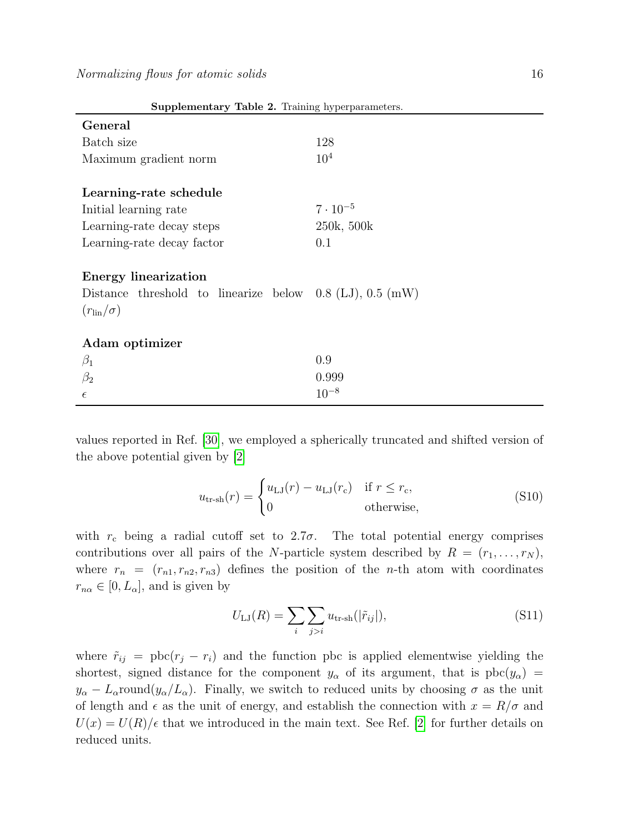| $\alpha$ ouppremember y $\alpha$ and $\alpha$ . Training hyperparameters.                                                                  |                   |  |  |  |  |  |
|--------------------------------------------------------------------------------------------------------------------------------------------|-------------------|--|--|--|--|--|
| General                                                                                                                                    |                   |  |  |  |  |  |
| Batch size                                                                                                                                 | 128               |  |  |  |  |  |
| Maximum gradient norm                                                                                                                      | $10^{4}$          |  |  |  |  |  |
|                                                                                                                                            |                   |  |  |  |  |  |
| Learning-rate schedule                                                                                                                     |                   |  |  |  |  |  |
| Initial learning rate                                                                                                                      | $7 \cdot 10^{-5}$ |  |  |  |  |  |
| Learning-rate decay steps                                                                                                                  | 250k, 500k        |  |  |  |  |  |
| Learning-rate decay factor                                                                                                                 | 0.1               |  |  |  |  |  |
| <b>Energy linearization</b><br>Distance threshold to linearize below $0.8$ (LJ), $0.5$ (mW)<br>$(r_{\text{lin}}/\sigma)$<br>Adam optimizer |                   |  |  |  |  |  |
| $\beta_1$                                                                                                                                  | 0.9               |  |  |  |  |  |
| $\beta_2$                                                                                                                                  | 0.999             |  |  |  |  |  |
|                                                                                                                                            | $10^{-8}$         |  |  |  |  |  |
| $\epsilon$                                                                                                                                 |                   |  |  |  |  |  |

<span id="page-15-0"></span>Supplementary Table 2. Training hyperparameters.

values reported in Ref. [\[30\]](#page-10-14), we employed a spherically truncated and shifted version of the above potential given by [\[2\]](#page-9-1)

$$
u_{\text{tr-sh}}(r) = \begin{cases} u_{\text{LJ}}(r) - u_{\text{LJ}}(r_{\text{c}}) & \text{if } r \le r_{\text{c}},\\ 0 & \text{otherwise}, \end{cases}
$$
(S10)

with  $r_c$  being a radial cutoff set to 2.7 $\sigma$ . The total potential energy comprises contributions over all pairs of the N-particle system described by  $R = (r_1, \ldots, r_N)$ , where  $r_n = (r_{n1}, r_{n2}, r_{n3})$  defines the position of the *n*-th atom with coordinates  $r_{n\alpha} \in [0, L_{\alpha}],$  and is given by

$$
U_{\text{LJ}}(R) = \sum_{i} \sum_{j>i} u_{\text{tr-sh}}(|\tilde{r}_{ij}|), \tag{S11}
$$

where  $\tilde{r}_{ij} = \text{pbc}(r_j - r_i)$  and the function pbc is applied elementwise yielding the shortest, signed distance for the component  $y_\alpha$  of its argument, that is  $pbc(y_\alpha)$  =  $y_{\alpha} - L_{\alpha}$ round $(y_{\alpha}/L_{\alpha})$ . Finally, we switch to reduced units by choosing  $\sigma$  as the unit of length and  $\epsilon$  as the unit of energy, and establish the connection with  $x = R/\sigma$  and  $U(x) = U(R)/\epsilon$  that we introduced in the main text. See Ref. [\[2\]](#page-9-1) for further details on reduced units.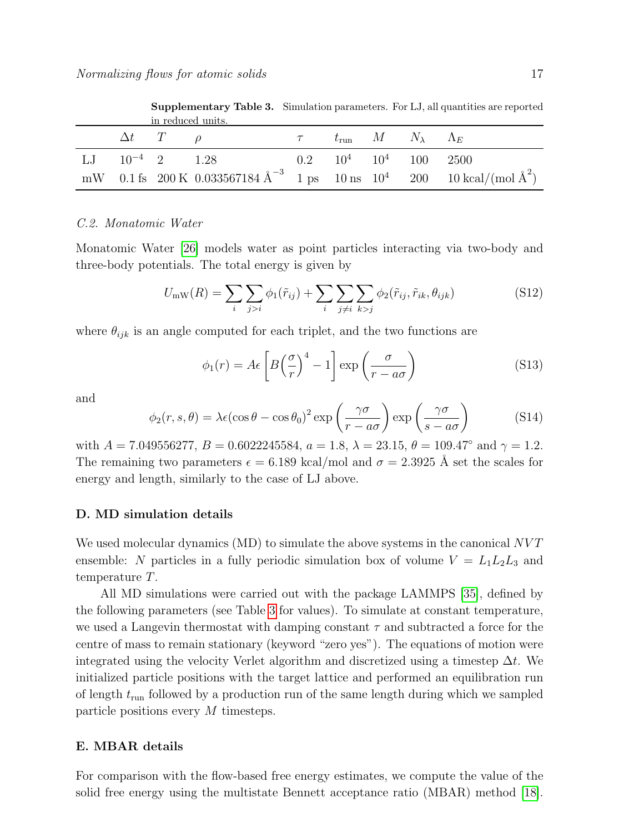|  |  |                       |                        | <b>Supplementary Table 3.</b> Simulation parameters. For LJ, all quantities are reported |  |  |  |                                                                                                              |
|--|--|-----------------------|------------------------|------------------------------------------------------------------------------------------|--|--|--|--------------------------------------------------------------------------------------------------------------|
|  |  |                       | in reduced units.      |                                                                                          |  |  |  |                                                                                                              |
|  |  | $\Delta t$ $T$ $\rho$ |                        | $\tau$ $t_{\rm run}$ $M$ $N_{\lambda}$ $\Lambda_E$                                       |  |  |  |                                                                                                              |
|  |  |                       | L.J $10^{-4}$ 2 $1.28$ | $0.2 \qquad 10^4 \qquad 10^4 \qquad 100 \qquad 2500$                                     |  |  |  |                                                                                                              |
|  |  |                       |                        |                                                                                          |  |  |  | mW 0.1 fs 200 K 0.033567184 $\text{\AA}^{-3}$ 1 ps 10 ns 10 <sup>4</sup> 200 10 kcal/(mol $\text{\AA}^{2}$ ) |

<span id="page-16-0"></span>Supplementary Table 3. Simulation parameters. For LJ, all quantities are reported

# C.2. Monatomic Water

Monatomic Water [\[26\]](#page-10-10) models water as point particles interacting via two-body and three-body potentials. The total energy is given by

$$
U_{\text{mW}}(R) = \sum_{i} \sum_{j>i} \phi_1(\tilde{r}_{ij}) + \sum_{i} \sum_{j\neq i} \sum_{k>j} \phi_2(\tilde{r}_{ij}, \tilde{r}_{ik}, \theta_{ijk})
$$
(S12)

where  $\theta_{ijk}$  is an angle computed for each triplet, and the two functions are

$$
\phi_1(r) = A\epsilon \left[ B \left( \frac{\sigma}{r} \right)^4 - 1 \right] \exp \left( \frac{\sigma}{r - a\sigma} \right) \tag{S13}
$$

and

$$
\phi_2(r, s, \theta) = \lambda \epsilon (\cos \theta - \cos \theta_0)^2 \exp\left(\frac{\gamma \sigma}{r - a\sigma}\right) \exp\left(\frac{\gamma \sigma}{s - a\sigma}\right)
$$
(S14)

with  $A = 7.049556277$ ,  $B = 0.6022245584$ ,  $a = 1.8$ ,  $\lambda = 23.15$ ,  $\theta = 109.47°$  and  $\gamma = 1.2$ . The remaining two parameters  $\epsilon = 6.189$  kcal/mol and  $\sigma = 2.3925$  Å set the scales for energy and length, similarly to the case of LJ above.

#### D. MD simulation details

We used molecular dynamics (MD) to simulate the above systems in the canonical NVT ensemble: N particles in a fully periodic simulation box of volume  $V = L_1L_2L_3$  and temperature T.

All MD simulations were carried out with the package LAMMPS [\[35\]](#page-10-19), defined by the following parameters (see Table [3](#page-16-0) for values). To simulate at constant temperature, we used a Langevin thermostat with damping constant  $\tau$  and subtracted a force for the centre of mass to remain stationary (keyword "zero yes"). The equations of motion were integrated using the velocity Verlet algorithm and discretized using a timestep  $\Delta t$ . We initialized particle positions with the target lattice and performed an equilibration run of length  $t_{\text{run}}$  followed by a production run of the same length during which we sampled particle positions every M timesteps.

#### E. MBAR details

For comparison with the flow-based free energy estimates, we compute the value of the solid free energy using the multistate Bennett acceptance ratio (MBAR) method [\[18\]](#page-10-5).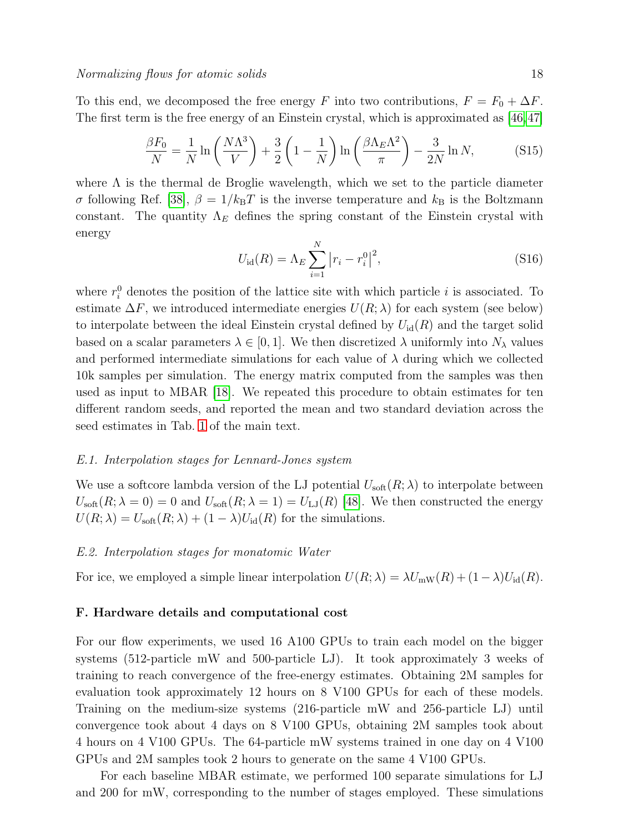To this end, we decomposed the free energy F into two contributions,  $F = F_0 + \Delta F$ . The first term is the free energy of an Einstein crystal, which is approximated as [\[46,](#page-11-0)[47\]](#page-11-1)

$$
\frac{\beta F_0}{N} = \frac{1}{N} \ln \left( \frac{N \Lambda^3}{V} \right) + \frac{3}{2} \left( 1 - \frac{1}{N} \right) \ln \left( \frac{\beta \Lambda_E \Lambda^2}{\pi} \right) - \frac{3}{2N} \ln N, \tag{S15}
$$

where  $\Lambda$  is the thermal de Broglie wavelength, which we set to the particle diameter σ following Ref. [\[38\]](#page-10-22),  $\beta = 1/k_BT$  is the inverse temperature and  $k_B$  is the Boltzmann constant. The quantity  $\Lambda_E$  defines the spring constant of the Einstein crystal with energy

$$
U_{\rm id}(R) = \Lambda_E \sum_{i=1}^{N} |r_i - r_i^0|^2,
$$
\n(S16)

where  $r_i^0$  denotes the position of the lattice site with which particle i is associated. To estimate  $\Delta F$ , we introduced intermediate energies  $U(R; \lambda)$  for each system (see below) to interpolate between the ideal Einstein crystal defined by  $U_{\rm id}(R)$  and the target solid based on a scalar parameters  $\lambda \in [0, 1]$ . We then discretized  $\lambda$  uniformly into  $N_{\lambda}$  values and performed intermediate simulations for each value of  $\lambda$  during which we collected 10k samples per simulation. The energy matrix computed from the samples was then used as input to MBAR [\[18\]](#page-10-5). We repeated this procedure to obtain estimates for ten different random seeds, and reported the mean and two standard deviation across the seed estimates in Tab. [1](#page-8-0) of the main text.

# E.1. Interpolation stages for Lennard-Jones system

We use a softcore lambda version of the LJ potential  $U_{\text{soft}}(R; \lambda)$  to interpolate between  $U_{\text{soft}}(R; \lambda = 0) = 0$  and  $U_{\text{soft}}(R; \lambda = 1) = U_{\text{LJ}}(R)$  [\[48\]](#page-11-2). We then constructed the energy  $U(R; \lambda) = U<sub>soft</sub>(R; \lambda) + (1 - \lambda)U<sub>id</sub>(R)$  for the simulations.

#### E.2. Interpolation stages for monatomic Water

For ice, we employed a simple linear interpolation  $U(R; \lambda) = \lambda U_{\text{mw}}(R) + (1 - \lambda)U_{\text{id}}(R)$ .

## F. Hardware details and computational cost

For our flow experiments, we used 16 A100 GPUs to train each model on the bigger systems (512-particle mW and 500-particle LJ). It took approximately 3 weeks of training to reach convergence of the free-energy estimates. Obtaining 2M samples for evaluation took approximately 12 hours on 8 V100 GPUs for each of these models. Training on the medium-size systems (216-particle mW and 256-particle LJ) until convergence took about 4 days on 8 V100 GPUs, obtaining 2M samples took about 4 hours on 4 V100 GPUs. The 64-particle mW systems trained in one day on 4 V100 GPUs and 2M samples took 2 hours to generate on the same 4 V100 GPUs.

For each baseline MBAR estimate, we performed 100 separate simulations for LJ and 200 for mW, corresponding to the number of stages employed. These simulations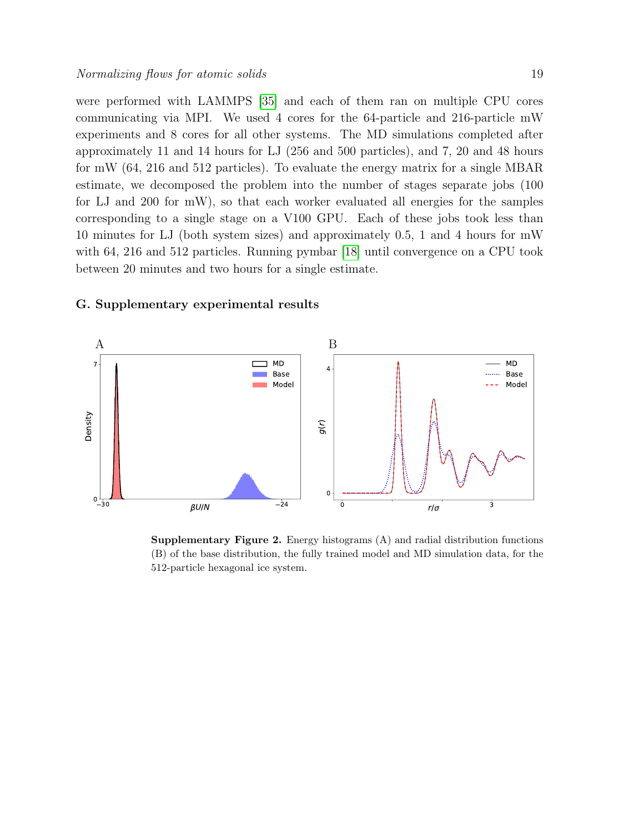were performed with LAMMPS [\[35\]](#page-10-19) and each of them ran on multiple CPU cores communicating via MPI. We used 4 cores for the 64-particle and 216-particle mW experiments and 8 cores for all other systems. The MD simulations completed after approximately 11 and 14 hours for LJ (256 and 500 particles), and 7, 20 and 48 hours for mW (64, 216 and 512 particles). To evaluate the energy matrix for a single MBAR estimate, we decomposed the problem into the number of stages separate jobs (100 for LJ and 200 for mW), so that each worker evaluated all energies for the samples corresponding to a single stage on a V100 GPU. Each of these jobs took less than 10 minutes for LJ (both system sizes) and approximately 0.5, 1 and 4 hours for mW with 64, 216 and 512 particles. Running pymbar [\[18\]](#page-10-5) until convergence on a CPU took between 20 minutes and two hours for a single estimate.

#### G. Supplementary experimental results



**Supplementary Figure 2.** Energy histograms  $(A)$  and radial distribution functions (B) of the base distribution, the fully trained model and MD simulation data, for the 512-particle hexagonal ice system.